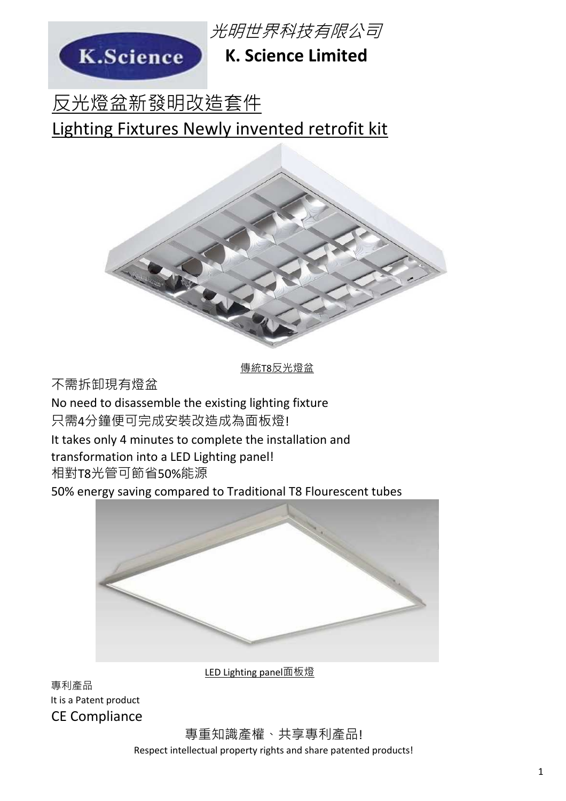

光明世界科技有限公司

### **K. Science Limited**

反光燈盆新發明改造套件 Lighting Fixtures Newly invented retrofit kit



傳統T8反光燈盆

不需拆卸現有燈盆

No need to disassemble the existing lighting fixture 只需4分鐘便可完成安裝改造成為面板燈!

It takes only 4 minutes to complete the installation and

transformation into a LED Lighting panel!

相對T8光管可節省50%能源

50% energy saving compared to Traditional T8 Flourescent tubes



LED Lighting panel面板燈

專利產品 It is a Patent product CE Compliance

> 專重知識產權、共享專利產品! Respect intellectual property rights and share patented products!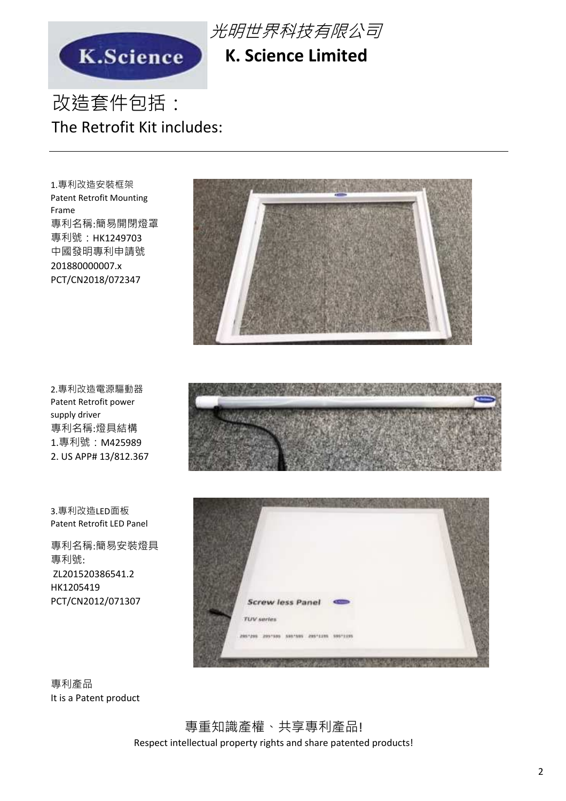



### **K. Science Limited**

## 改造套件包括: The Retrofit Kit includes:

專利名稱:簡易開閉燈罩 專利號: HK1249703 中國發明專利申請號 201880000007.x PCT/CN2018/072347 1.專利改造安裝框架 Patent Retrofit Mounting Frame

專利名稱:燈具結構 1.專利號:M425989 2. US APP# 13/812.367 2.專利改造電源驅動器 Patent Retrofit power supply driver

3.專利改造LED面板 Patent Retrofit LED Panel

專利名稱:簡易安裝燈具 專利號: ZL201520386541.2 HK1205419 PCT/CN2012/071307







專利產品 It is a Patent product

> 專重知識產權、共享專利產品! Respect intellectual property rights and share patented products!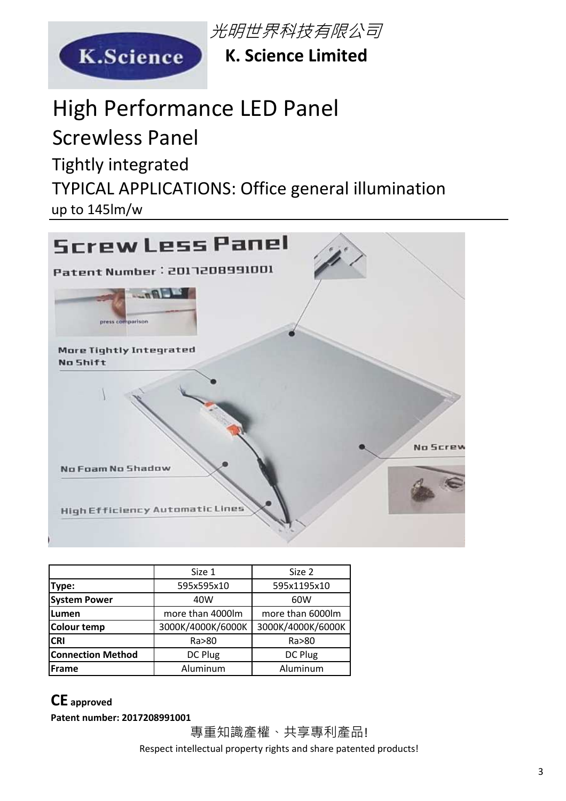

光明世界科技有限公司

**K. Science Limited**

# High Performance LED Panel

Screwless Panel

Tightly integrated

TYPICAL APPLICATIONS: Office general illumination

up to 145lm/w



|                          | Size 1            | Size 2            |
|--------------------------|-------------------|-------------------|
| Type:                    | 595x595x10        | 595x1195x10       |
| <b>System Power</b>      | 40W               | 60W               |
| Lumen                    | more than 4000lm  | more than 6000lm  |
| Colour temp              | 3000K/4000K/6000K | 3000K/4000K/6000K |
| <b>CRI</b>               | Ra>80             | Ra>80             |
| <b>Connection Method</b> | DC Plug           | DC Plug           |
| Frame                    | Aluminum          | Aluminum          |

#### **CE approved**

**Patent number: 2017208991001**

專重知識產權、共享專利產品! Respect intellectual property rights and share patented products!